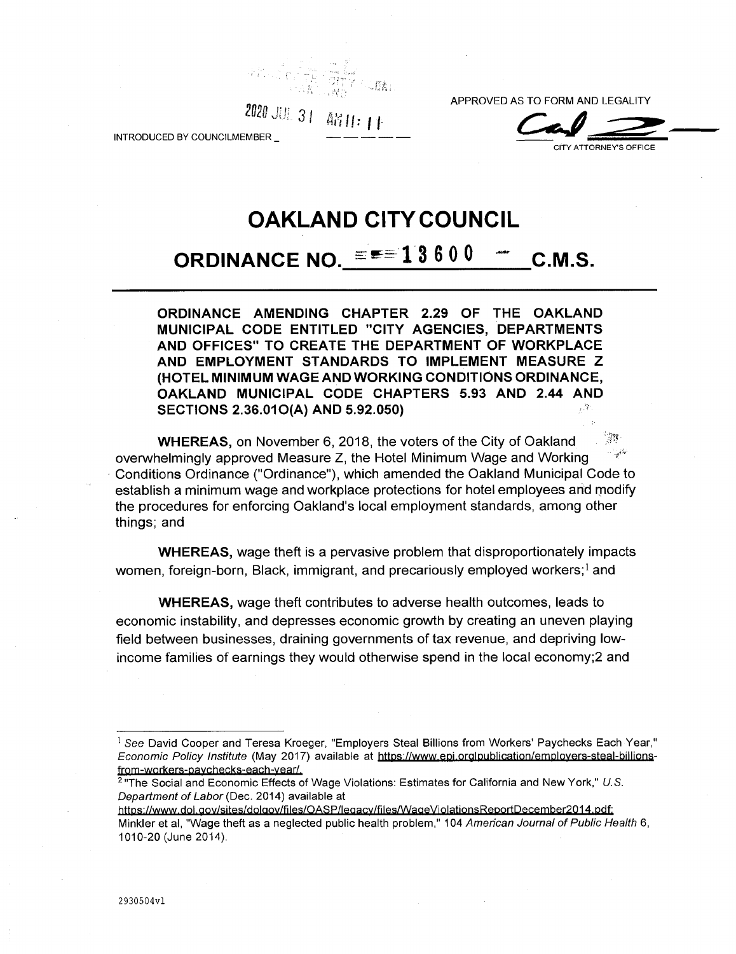*■M* APPROVED AS TO FORM AND LEGALITY<br>2020 JULI 21 *million* 

CITY ATTORNEY'S OFFICE

INTRODUCED BY COUNCILMEMBER

# **OAKLAND CITY COUNCIL**

# **ORDINANCE NO.**  $\equiv \equiv 13600 - \text{C.M.S.}$

**ORDINANCE AMENDING CHAPTER 2.29 OF THE OAKLAND MUNICIPAL CODE ENTITLED "CITY AGENCIES, DEPARTMENTS AND OFFICES" TO CREATE THE DEPARTMENT OF WORKPLACE AND EMPLOYMENT STANDARDS TO IMPLEMENT MEASURE Z (HOTEL MINIMUM WAGE AND WORKING CONDITIONS ORDINANCE, OAKLAND MUNICIPAL CODE CHAPTERS 5.93 AND 2.44 AND SECTIONS 2.36.010(A) AND 5.92.050)**

ुख **WHEREAS,** on November 6, 2018, the voters of the City of Oakland overwhelmingly approved Measure Z, the Hotel Minimum Wage and Working Conditions Ordinance ("Ordinance"), which amended the Oakland Municipal Code to establish a minimum wage and workplace protections for hotel employees arid modify the procedures for enforcing Oakland's local employment standards, among other things; and

**WHEREAS,** wage theft is a pervasive problem that disproportionately impacts women, foreign-born, Black, immigrant, and precariously employed workers;<sup>1</sup> and

**WHEREAS,** wage theft contributes to adverse health outcomes, leads to economic instability, and depresses economic growth by creating an uneven playing field between businesses, draining governments of tax revenue, and depriving lowincome families of earnings they would otherwise spend in the local economy;2 and

**<sup>i</sup>** *See* David Cooper and Teresa Kroeger, "Employers Steal Billions from Workers' Paychecks Each Year," *Economic Policy Institute* (May 2017) available at https://www.epi.orglpublication/emplovers-steal-billionsfrom-workers-pavchecks-each-vear/.

<sup>2</sup> "The Social and Economic Effects of Wage Violations: Estimates for California and New York," *U.S. Department of Labor* (Dec. 2014) available at

https://www.dol.gov/sites/dolgov/files/OASP/legacy/files/WageViolationsReportDecember2014.pdf; Minkler et al, "Wage theft as a neglected public health problem," 104 *American Journal of Public Health* 6, 1010-20 (June 2014).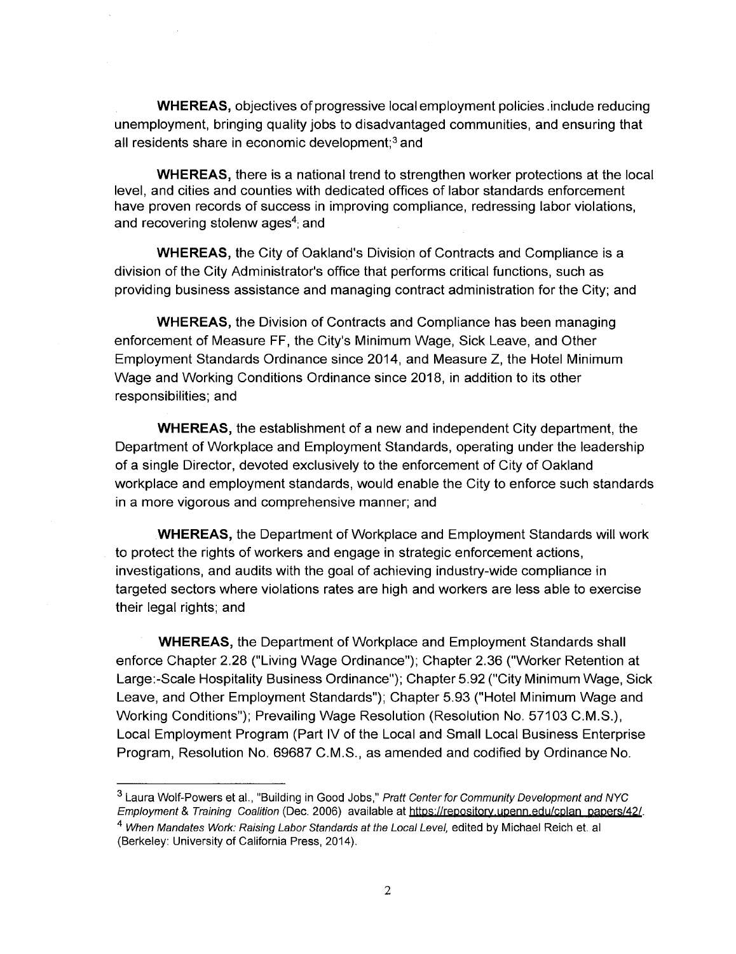**WHEREAS,** objectives of progressive local employment policies .include reducing unemployment, bringing quality jobs to disadvantaged communities, and ensuring that all residents share in economic development;<sup>3</sup> and

**WHEREAS,** there is a national trend to strengthen worker protections at the local level, and cities and counties with dedicated offices of labor standards enforcement have proven records of success in improving compliance, redressing labor violations, and recovering stolenw ages<sup>4</sup>; and

**WHEREAS,** the City of Oakland's Division of Contracts and Compliance is a division of the City Administrator's office that performs critical functions, such as providing business assistance and managing contract administration for the City; and

**WHEREAS,** the Division of Contracts and Compliance has been managing enforcement of Measure FF, the City's Minimum Wage, Sick Leave, and Other Employment Standards Ordinance since 2014, and Measure Z, the Hotel Minimum Wage and Working Conditions Ordinance since 2018, in addition to its other responsibilities; and

**WHEREAS,** the establishment of a new and independent City department, the Department of Workplace and Employment Standards, operating under the leadership of a single Director, devoted exclusively to the enforcement of City of Oakland workplace and employment standards, would enable the City to enforce such standards in a more vigorous and comprehensive manner; and

**WHEREAS,** the Department of Workplace and Employment Standards will work to protect the rights of workers and engage in strategic enforcement actions, investigations, and audits with the goal of achieving industry-wide compliance in targeted sectors where violations rates are high and workers are less able to exercise their legal rights; and

**WHEREAS,** the Department of Workplace and Employment Standards shall enforce Chapter 2.28 ("Living Wage Ordinance"); Chapter 2.36 ("Worker Retention at Large:-Scale Hospitality Business Ordinance"); Chapter 5.92 ("City Minimum Wage, Sick Leave, and Other Employment Standards"); Chapter 5.93 ("Hotel Minimum Wage and Working Conditions"); Prevailing Wage Resolution (Resolution No. 57103 C.M.S.), Local Employment Program (Part IV of the Local and Small Local Business Enterprise Program, Resolution No. 69687 C.M.S., as amended and codified by Ordinance No.

<sup>3</sup> Laura Wolf-Powers et al., "Building in Good Jobs," *Pratt Center for Community Development and NYC Employment* & *Training Coalition* (Dec. 2006) available at [https://repositorv.upenn.edu/cplan](https://repositorv.upenn.edu/cplan_papers/42/) papers/42/. 4 *When Mandates Work: Raising Labor Standards at the Local Level,* edited by Michael Reich et. al (Berkeley: University of California Press, 2014).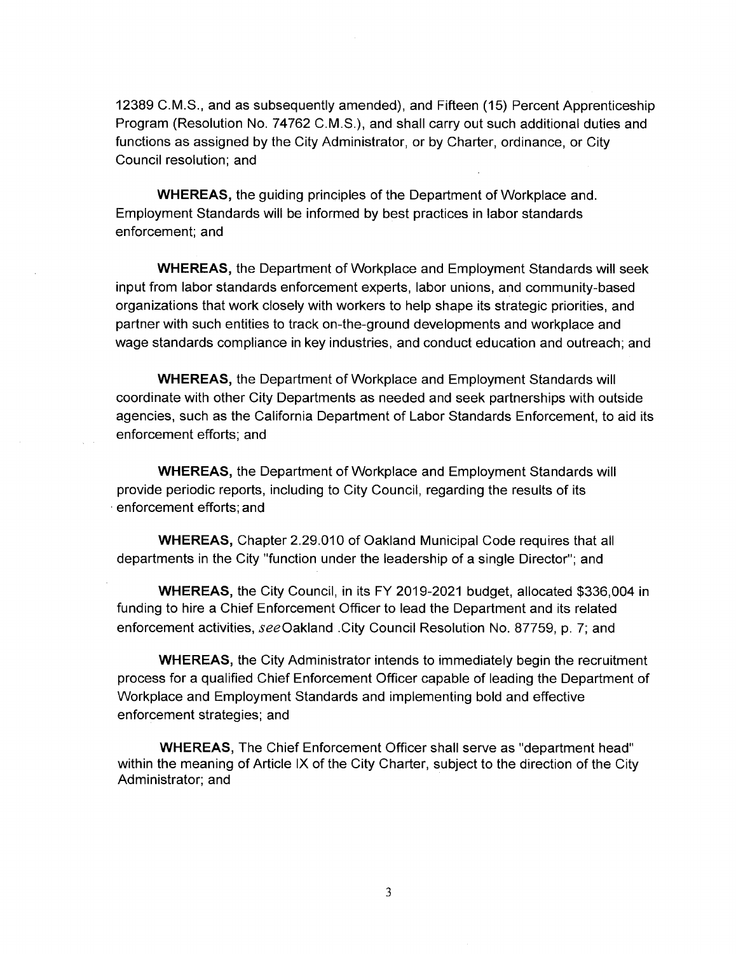12389 C.M.S., and as subsequently amended), and Fifteen (15) Percent Apprenticeship Program (Resolution No. 74762 C.M.S.), and shall carry out such additional duties and functions as assigned by the City Administrator, or by Charter, ordinance, or City Council resolution; and

**WHEREAS,** the guiding principles of the Department of Workplace and. Employment Standards will be informed by best practices in labor standards enforcement; and

**WHEREAS,** the Department of Workplace and Employment Standards will seek input from labor standards enforcement experts, labor unions, and community-based organizations that work closely with workers to help shape its strategic priorities, and partner with such entities to track on-the-ground developments and workplace and wage standards compliance in key industries, and conduct education and outreach; and

**WHEREAS,** the Department of Workplace and Employment Standards will coordinate with other City Departments as needed and seek partnerships with outside agencies, such as the California Department of Labor Standards Enforcement, to aid its enforcement efforts; and

**WHEREAS,** the Department of Workplace and Employment Standards will provide periodic reports, including to City Council, regarding the results of its enforcement efforts; and

**WHEREAS,** Chapter 2.29.010 of Oakland Municipal Code requires that all departments in the City "function under the leadership of a single Director"; and

**WHEREAS,** the City Council, in its FY 2019-2021 budget, allocated \$336,004 in funding to hire a Chief Enforcement Officer to lead the Department and its related enforcement activities, see Oakland .City Council Resolution No. 87759, p. 7; and

**WHEREAS,** the City Administrator intends to immediately begin the recruitment process for a qualified Chief Enforcement Officer capable of leading the Department of Workplace and Employment Standards and implementing bold and effective enforcement strategies; and

**WHEREAS,** The Chief Enforcement Officer shall serve as "department head" within the meaning of Article IX of the City Charter, subject to the direction of the City Administrator; and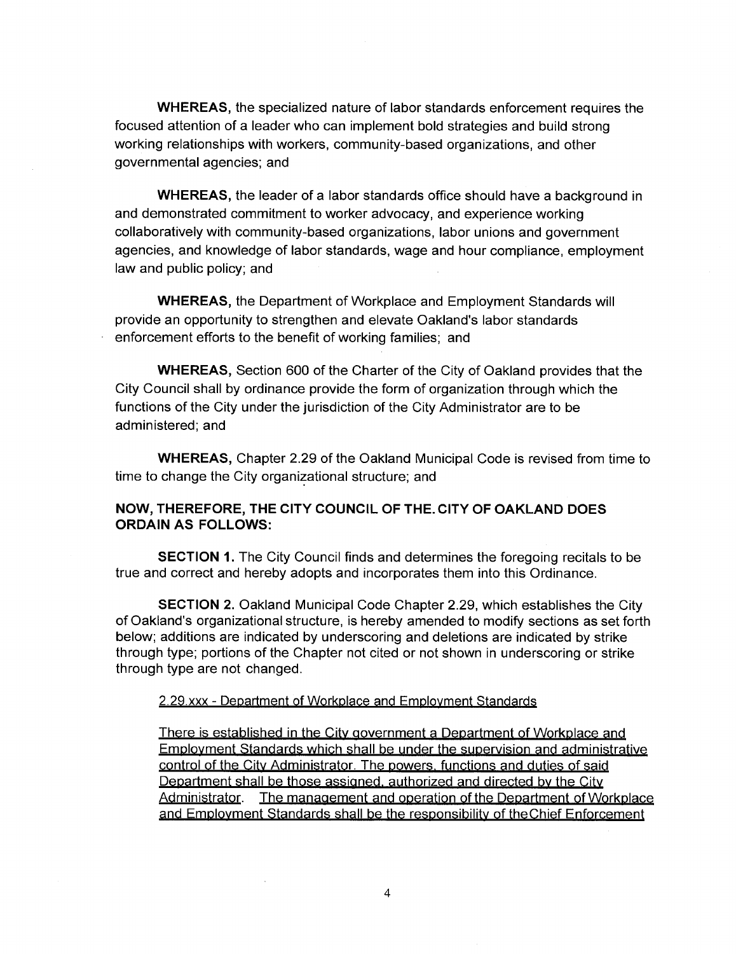**WHEREAS,** the specialized nature of labor standards enforcement requires the focused attention of a leader who can implement bold strategies and build strong working relationships with workers, community-based organizations, and other governmental agencies; and

**WHEREAS,** the leader of a labor standards office should have a background in and demonstrated commitment to worker advocacy, and experience working collaboratively with community-based organizations, labor unions and government agencies, and knowledge of labor standards, wage and hour compliance, employment law and public policy; and

**WHEREAS,** the Department of Workplace and Employment Standards will provide an opportunity to strengthen and elevate Oakland's labor standards enforcement efforts to the benefit of working families; and

**WHEREAS,** Section 600 of the Charter of the City of Oakland provides that the City Council shall by ordinance provide the form of organization through which the functions of the City under the jurisdiction of the City Administrator are to be administered; and

**WHEREAS,** Chapter 2.29 of the Oakland Municipal Code is revised from time to time to change the City organizational structure; and

## **NOW, THEREFORE, THE CITY COUNCIL OF THE. CITY OF OAKLAND DOES ORDAIN AS FOLLOWS:**

**SECTION 1.** The City Council finds and determines the foregoing recitals to be true and correct and hereby adopts and incorporates them into this Ordinance.

**SECTION 2.** Oakland Municipal Code Chapter 2.29, which establishes the City of Oakland's organizational structure, is hereby amended to modify sections as set forth below; additions are indicated by underscoring and deletions are indicated by strike through type; portions of the Chapter not cited or not shown in underscoring or strike through type are not changed.

### 2.29.xxx - Department of Workplace and Employment Standards

There is established in the City government a Department of Workplace and Employment Standards which shall be under the supervision and administrative control of the City Administrator. The powers, functions and duties of said Department shall be those assigned, authorized and directed by the City<br>Administrator. The management and operation of the Department of Wo The management and operation of the Department of Workplace and Employment Standards shall be the responsibility of theChief Enforcement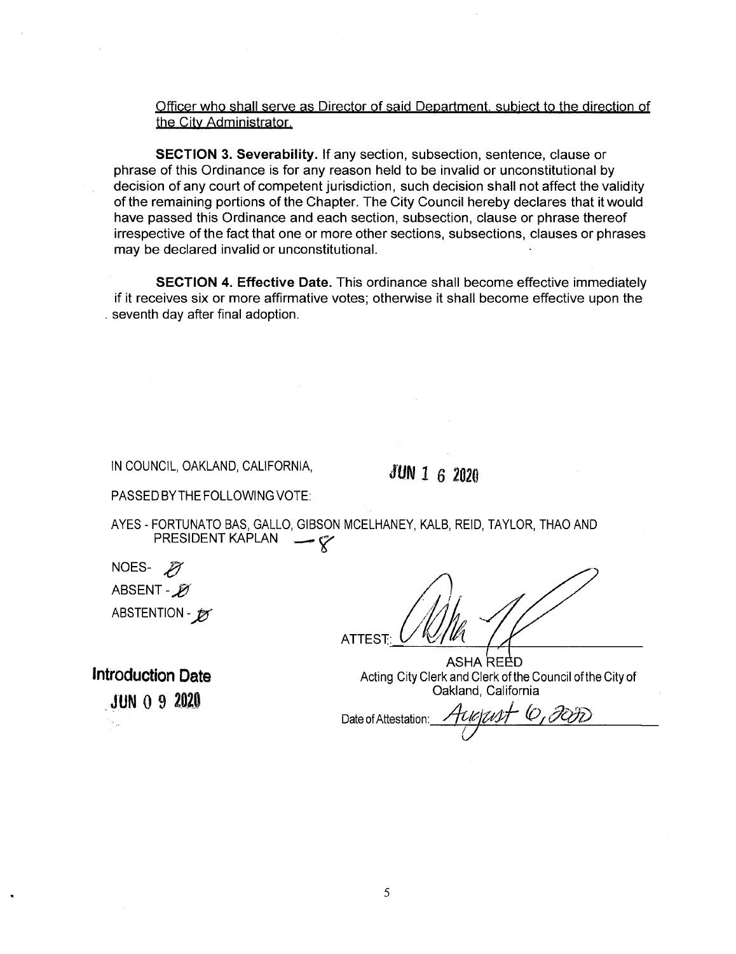Officer who shall serve as Director of said Department, subject to the direction of the City Administrator.

**SECTION 3. Severability.** If any section, subsection, sentence, clause or phrase of this Ordinance is for any reason held to be invalid or unconstitutional by decision of any court of competent jurisdiction, such decision shall not affect the validity of the remaining portions of the Chapter. The City Council hereby declares that it would have passed this Ordinance and each section, subsection, clause or phrase thereof irrespective of the fact that one or more other sections, subsections, clauses or phrases may be declared invalid or unconstitutional.

**SECTION 4. Effective Date.** This ordinance shall become effective immediately if it receives six or more affirmative votes; otherwise it shall become effective upon the . seventh day after final adoption.

IN COUNCIL, OAKLAND, CALIFORNIA,  $JUN 1 6 2020$ 

PASSED BYTHE FOLLOWING VOTE:

AYES - FORTUNATO BAS, GALLO, GIBSON MCELHANEY, KALB, REID, TAYLOR, THAO AND PRESIDENT KAPLAN

NOES-<sub>27</sub> ABSENT - *p* ABSTENTION - **j** 

ATTEST:

ASHA REED Acting City Clerk and Clerk of the Council ofthe City of Oakland, California

・しょだが Date of Attestation **/**

Introduction Date JUN <sup>0</sup> <sup>9</sup> *m*